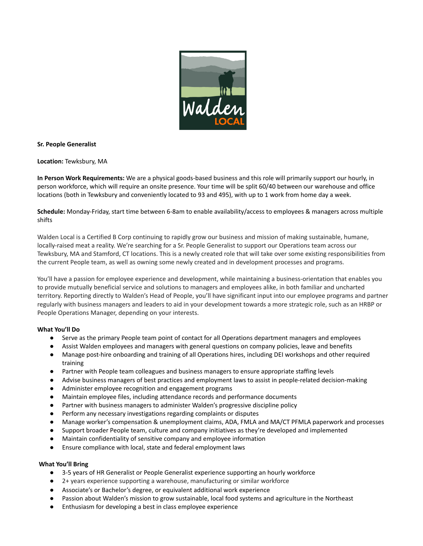

#### **Sr. People Generalist**

**Location:** Tewksbury, MA

**In Person Work Requirements:** We are a physical goods-based business and this role will primarily support our hourly, in person workforce, which will require an onsite presence. Your time will be split 60/40 between our warehouse and office locations (both in Tewksbury and conveniently located to 93 and 495), with up to 1 work from home day a week.

**Schedule:** Monday-Friday, start time between 6-8am to enable availability/access to employees & managers across multiple shifts

Walden Local is a Certified B Corp continuing to rapidly grow our business and mission of making sustainable, humane, locally-raised meat a reality. We're searching for a Sr. People Generalist to support our Operations team across our Tewksbury, MA and Stamford, CT locations. This is a newly created role that will take over some existing responsibilities from the current People team, as well as owning some newly created and in development processes and programs.

You'll have a passion for employee experience and development, while maintaining a business-orientation that enables you to provide mutually beneficial service and solutions to managers and employees alike, in both familiar and uncharted territory. Reporting directly to Walden's Head of People, you'll have significant input into our employee programs and partner regularly with business managers and leaders to aid in your development towards a more strategic role, such as an HRBP or People Operations Manager, depending on your interests.

#### **What You'll Do**

- Serve as the primary People team point of contact for all Operations department managers and employees
- Assist Walden employees and managers with general questions on company policies, leave and benefits
- Manage post-hire onboarding and training of all Operations hires, including DEI workshops and other required training
- *●* Partner with People team colleagues and business managers to ensure appropriate staffing levels
- Advise business managers of best practices and employment laws to assist in people-related decision-making
- Administer employee recognition and engagement programs
- Maintain employee files, including attendance records and performance documents
- Partner with business managers to administer Walden's progressive discipline policy
- Perform any necessary investigations regarding complaints or disputes
- Manage worker's compensation & unemployment claims, ADA, FMLA and MA/CT PFMLA paperwork and processes
- Support broader People team, culture and company initiatives as they're developed and implemented
- Maintain confidentiality of sensitive company and employee information
- Ensure compliance with local, state and federal employment laws

#### **What You'll Bring**

- 3-5 years of HR Generalist or People Generalist experience supporting an hourly workforce
- 2+ years experience supporting a warehouse, manufacturing or similar workforce
- Associate's or Bachelor's degree, or equivalent additional work experience
- Passion about Walden's mission to grow sustainable, local food systems and agriculture in the Northeast
- Enthusiasm for developing a best in class employee experience